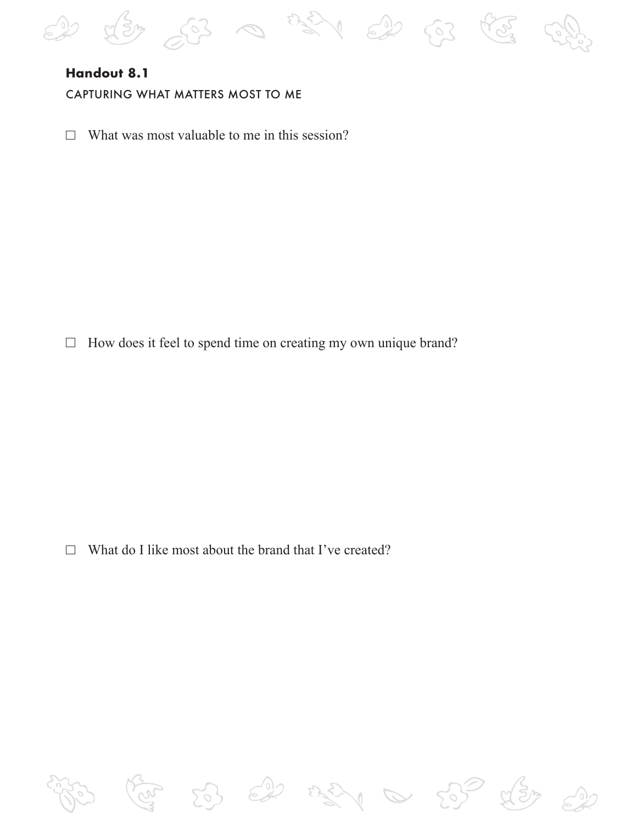

## **Handout 8.1** CAPTURING WHAT MATTERS MOST TO ME

 $\Box$  What was most valuable to me in this session?

 $\Box$  How does it feel to spend time on creating my own unique brand?

 $\Box$  What do I like most about the brand that I've created?

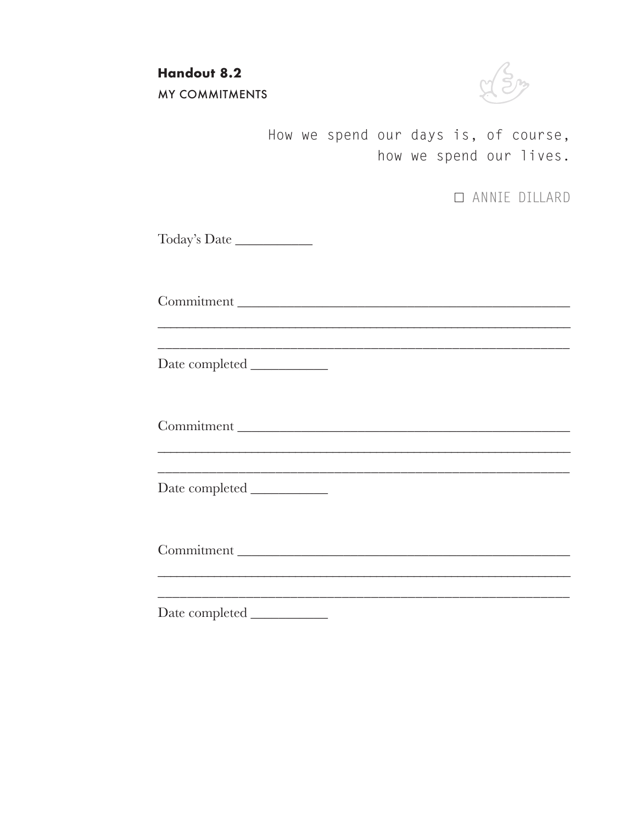**Handout 8.2 MY COMMITMENTS** 



How we spend our days is, of course, how we spend our lives.

O ANNIE DILLARD

Today's Date

Commitment

Date completed

Commitment

Commitment